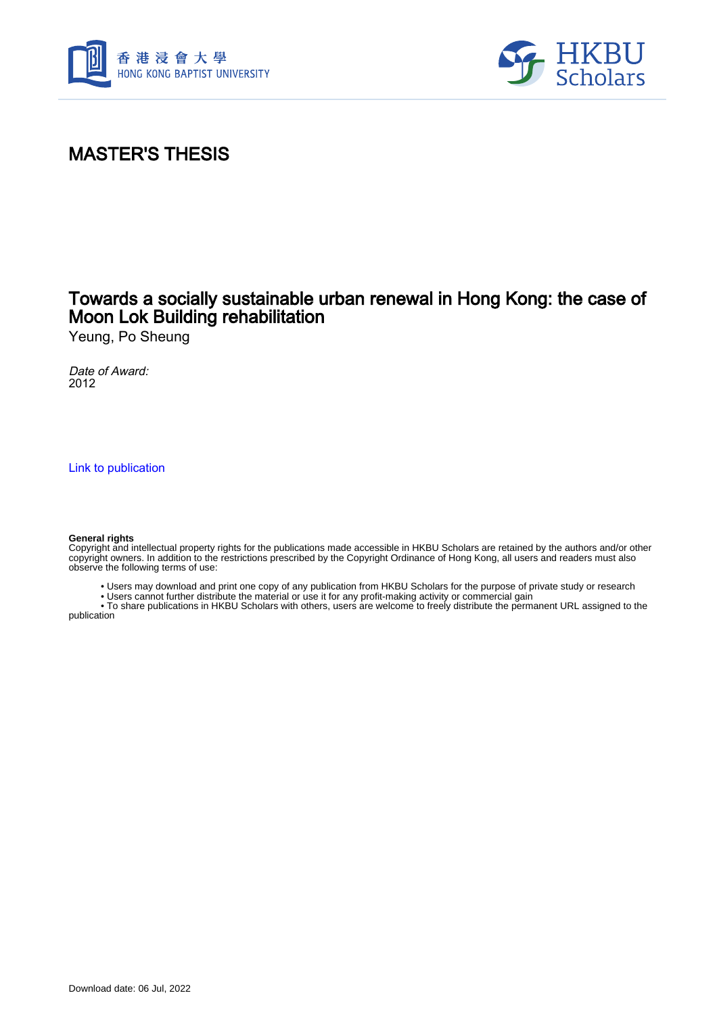



## MASTER'S THESIS

## Towards a socially sustainable urban renewal in Hong Kong: the case of Moon Lok Building rehabilitation

Yeung, Po Sheung

Date of Award: 2012

[Link to publication](https://scholars.hkbu.edu.hk/en/studentTheses/3f793a3f-b2e4-4d36-875e-abab96f75ec4)

#### **General rights**

Copyright and intellectual property rights for the publications made accessible in HKBU Scholars are retained by the authors and/or other copyright owners. In addition to the restrictions prescribed by the Copyright Ordinance of Hong Kong, all users and readers must also observe the following terms of use:

• Users may download and print one copy of any publication from HKBU Scholars for the purpose of private study or research

• Users cannot further distribute the material or use it for any profit-making activity or commercial gain

 • To share publications in HKBU Scholars with others, users are welcome to freely distribute the permanent URL assigned to the publication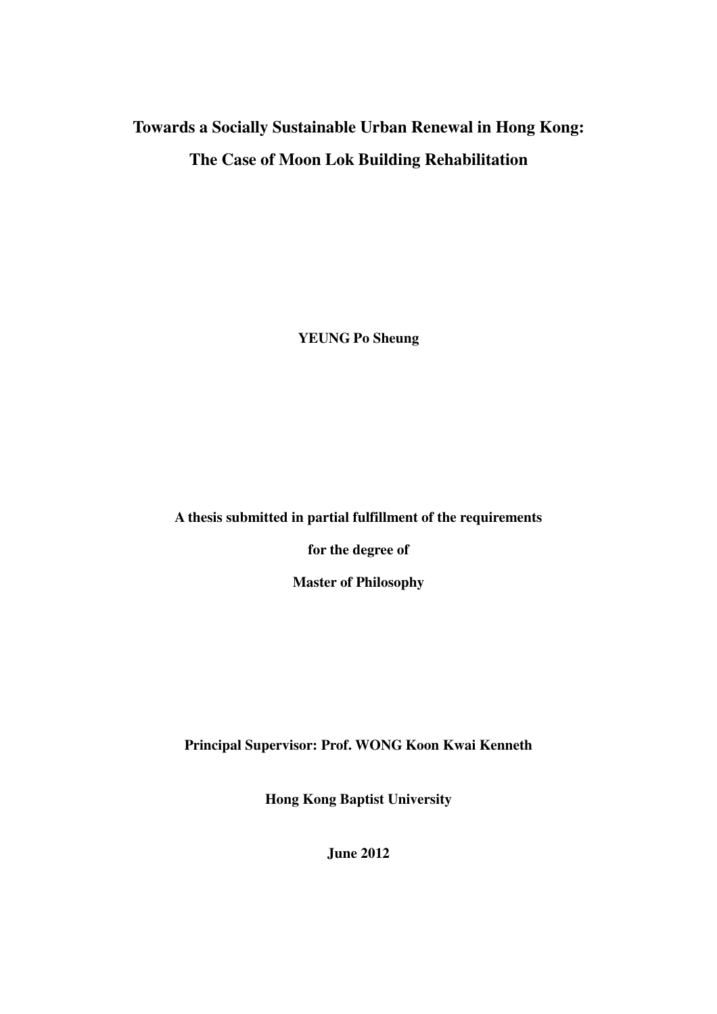# **Towards a Socially Sustainable Urban Renewal in Hong Kong: The Case of Moon Lok Building Rehabilitation**

**YEUNG Po Sheung** 

**A thesis submitted in partial fulfillment of the requirements** 

**for the degree of** 

**Master of Philosophy** 

**Principal Supervisor: Prof. WONG Koon Kwai Kenneth** 

**Hong Kong Baptist University** 

**June 2012**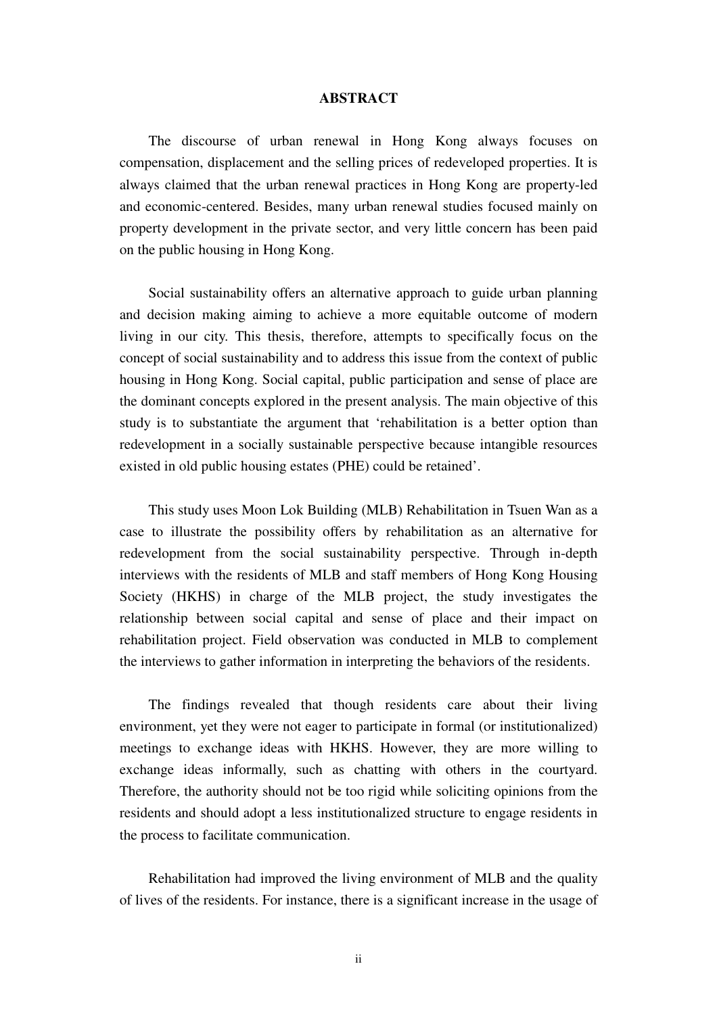### **ABSTRACT**

 The discourse of urban renewal in Hong Kong always focuses on compensation, displacement and the selling prices of redeveloped properties. It is always claimed that the urban renewal practices in Hong Kong are property-led and economic-centered. Besides, many urban renewal studies focused mainly on property development in the private sector, and very little concern has been paid on the public housing in Hong Kong.

Social sustainability offers an alternative approach to guide urban planning and decision making aiming to achieve a more equitable outcome of modern living in our city. This thesis, therefore, attempts to specifically focus on the concept of social sustainability and to address this issue from the context of public housing in Hong Kong. Social capital, public participation and sense of place are the dominant concepts explored in the present analysis. The main objective of this study is to substantiate the argument that 'rehabilitation is a better option than redevelopment in a socially sustainable perspective because intangible resources existed in old public housing estates (PHE) could be retained'.

This study uses Moon Lok Building (MLB) Rehabilitation in Tsuen Wan as a case to illustrate the possibility offers by rehabilitation as an alternative for redevelopment from the social sustainability perspective. Through in-depth interviews with the residents of MLB and staff members of Hong Kong Housing Society (HKHS) in charge of the MLB project, the study investigates the relationship between social capital and sense of place and their impact on rehabilitation project. Field observation was conducted in MLB to complement the interviews to gather information in interpreting the behaviors of the residents.

The findings revealed that though residents care about their living environment, yet they were not eager to participate in formal (or institutionalized) meetings to exchange ideas with HKHS. However, they are more willing to exchange ideas informally, such as chatting with others in the courtyard. Therefore, the authority should not be too rigid while soliciting opinions from the residents and should adopt a less institutionalized structure to engage residents in the process to facilitate communication.

Rehabilitation had improved the living environment of MLB and the quality of lives of the residents. For instance, there is a significant increase in the usage of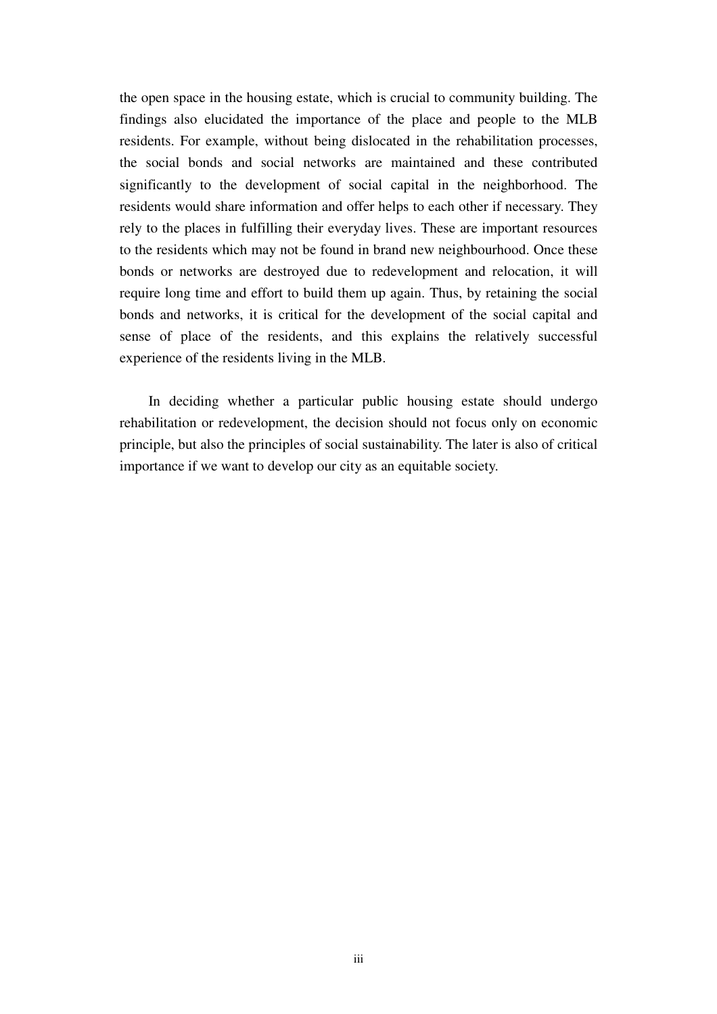the open space in the housing estate, which is crucial to community building. The findings also elucidated the importance of the place and people to the MLB residents. For example, without being dislocated in the rehabilitation processes, the social bonds and social networks are maintained and these contributed significantly to the development of social capital in the neighborhood. The residents would share information and offer helps to each other if necessary. They rely to the places in fulfilling their everyday lives. These are important resources to the residents which may not be found in brand new neighbourhood. Once these bonds or networks are destroyed due to redevelopment and relocation, it will require long time and effort to build them up again. Thus, by retaining the social bonds and networks, it is critical for the development of the social capital and sense of place of the residents, and this explains the relatively successful experience of the residents living in the MLB.

In deciding whether a particular public housing estate should undergo rehabilitation or redevelopment, the decision should not focus only on economic principle, but also the principles of social sustainability. The later is also of critical importance if we want to develop our city as an equitable society.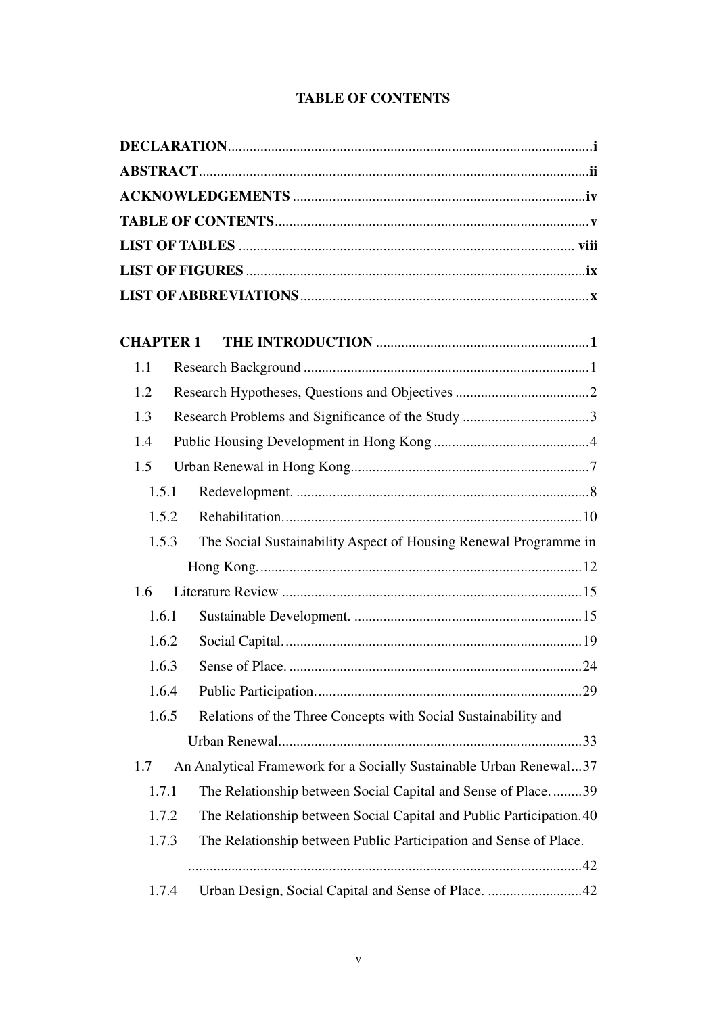## **TABLE OF CONTENTS**

| <b>CHAPTER 1</b> |       |                                                                      |  |  |  |  |  |
|------------------|-------|----------------------------------------------------------------------|--|--|--|--|--|
| 1.1              |       |                                                                      |  |  |  |  |  |
| 1.2              |       |                                                                      |  |  |  |  |  |
| 1.3              |       |                                                                      |  |  |  |  |  |
| 1.4              |       |                                                                      |  |  |  |  |  |
| 1.5              |       |                                                                      |  |  |  |  |  |
| 1.5.1            |       |                                                                      |  |  |  |  |  |
| 1.5.2            |       |                                                                      |  |  |  |  |  |
| 1.5.3            |       | The Social Sustainability Aspect of Housing Renewal Programme in     |  |  |  |  |  |
|                  |       |                                                                      |  |  |  |  |  |
| 1.6              |       |                                                                      |  |  |  |  |  |
| 1.6.1            |       |                                                                      |  |  |  |  |  |
| 1.6.2            |       |                                                                      |  |  |  |  |  |
| 1.6.3            |       |                                                                      |  |  |  |  |  |
| 1.6.4            |       |                                                                      |  |  |  |  |  |
| 1.6.5            |       | Relations of the Three Concepts with Social Sustainability and       |  |  |  |  |  |
|                  |       |                                                                      |  |  |  |  |  |
| 1.7              |       | An Analytical Framework for a Socially Sustainable Urban Renewal37   |  |  |  |  |  |
| 1.7.1            |       | The Relationship between Social Capital and Sense of Place39         |  |  |  |  |  |
| 1.7.2            |       | The Relationship between Social Capital and Public Participation. 40 |  |  |  |  |  |
| 1.7.3            |       | The Relationship between Public Participation and Sense of Place.    |  |  |  |  |  |
|                  |       |                                                                      |  |  |  |  |  |
|                  | 1.7.4 | Urban Design, Social Capital and Sense of Place. 42                  |  |  |  |  |  |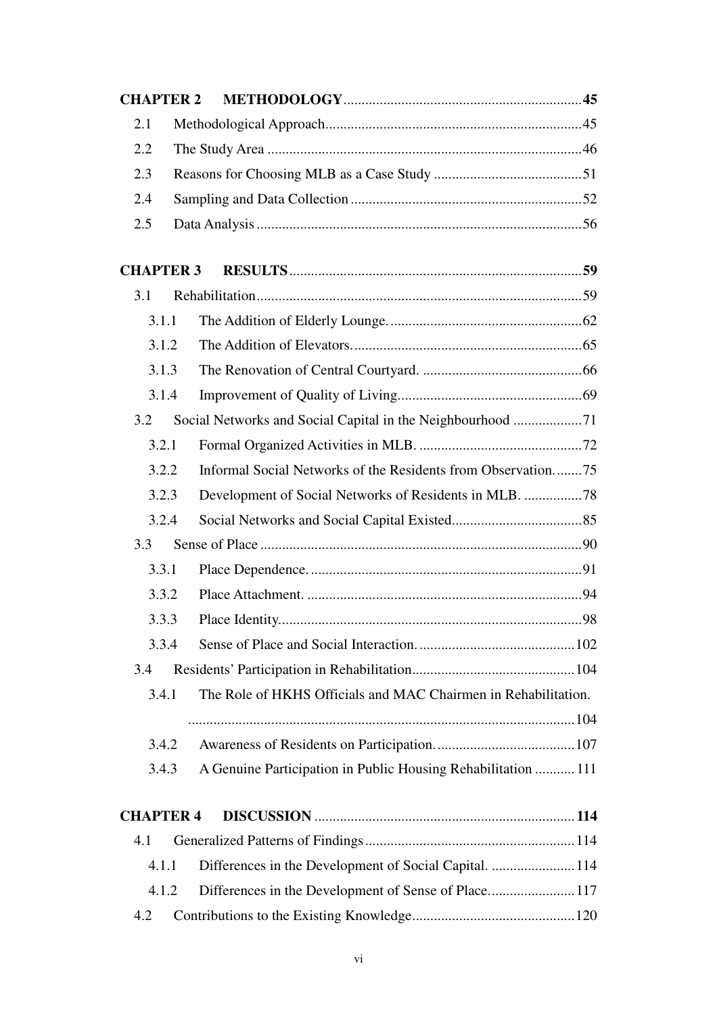| <b>CHAPTER 2</b> |  |                                                                |  |  |  |  |
|------------------|--|----------------------------------------------------------------|--|--|--|--|
| 2.1              |  |                                                                |  |  |  |  |
| 2.2              |  |                                                                |  |  |  |  |
| 2.3              |  |                                                                |  |  |  |  |
| 2.4              |  |                                                                |  |  |  |  |
| 2.5              |  |                                                                |  |  |  |  |
|                  |  |                                                                |  |  |  |  |
| <b>CHAPTER 3</b> |  |                                                                |  |  |  |  |
| 3.1              |  |                                                                |  |  |  |  |
| 3.1.1            |  |                                                                |  |  |  |  |
| 3.1.2            |  |                                                                |  |  |  |  |
| 3.1.3            |  |                                                                |  |  |  |  |
| 3.1.4            |  |                                                                |  |  |  |  |
| 3.2              |  | Social Networks and Social Capital in the Neighbourhood 71     |  |  |  |  |
| 3.2.1            |  |                                                                |  |  |  |  |
| 3.2.2            |  | Informal Social Networks of the Residents from Observation75   |  |  |  |  |
| 3.2.3            |  | Development of Social Networks of Residents in MLB. 78         |  |  |  |  |
| 3.2.4            |  |                                                                |  |  |  |  |
| 3.3              |  |                                                                |  |  |  |  |
| 3.3.1            |  |                                                                |  |  |  |  |
| 3.3.2            |  |                                                                |  |  |  |  |
| 3.3.3            |  |                                                                |  |  |  |  |
| 3.3.4            |  |                                                                |  |  |  |  |
| 3.4              |  |                                                                |  |  |  |  |
| 3.4.1            |  | The Role of HKHS Officials and MAC Chairmen in Rehabilitation. |  |  |  |  |
|                  |  |                                                                |  |  |  |  |
| 3.4.2            |  |                                                                |  |  |  |  |
| 3.4.3            |  | A Genuine Participation in Public Housing Rehabilitation  111  |  |  |  |  |
|                  |  |                                                                |  |  |  |  |
| <b>CHAPTER 4</b> |  |                                                                |  |  |  |  |
| 4.1              |  |                                                                |  |  |  |  |
| 4.1.1            |  | Differences in the Development of Social Capital.  114         |  |  |  |  |
| 4.1.2            |  | Differences in the Development of Sense of Place117            |  |  |  |  |
| 4.2              |  |                                                                |  |  |  |  |